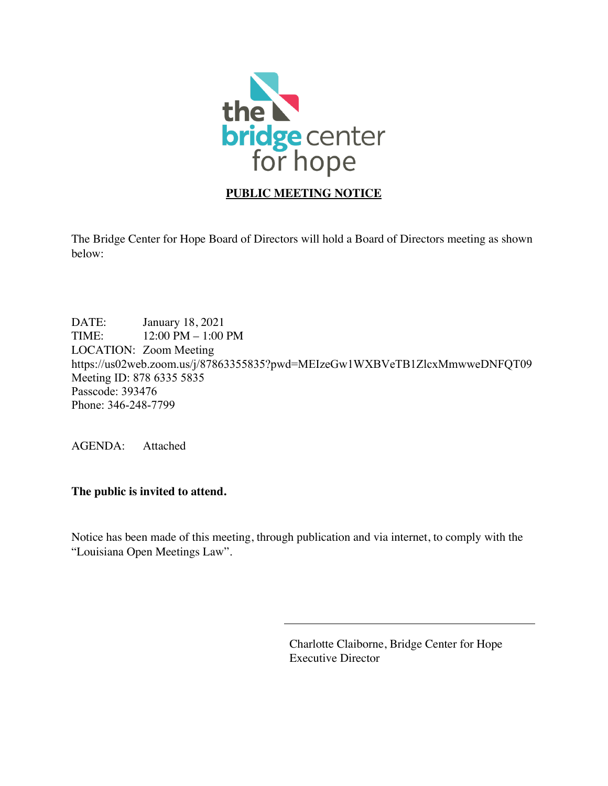

## **PUBLIC MEETING NOTICE**

The Bridge Center for Hope Board of Directors will hold a Board of Directors meeting as shown below:

DATE: January 18, 2021 TIME: 12:00 PM – 1:00 PM LOCATION: Zoom Meeting https://us02web.zoom.us/j/87863355835?pwd=MEIzeGw1WXBVeTB1ZlcxMmwweDNFQT09 Meeting ID: 878 6335 5835 Passcode: 393476 Phone: 346-248-7799

AGENDA: Attached

**The public is invited to attend.**

Notice has been made of this meeting, through publication and via internet, to comply with the "Louisiana Open Meetings Law".

> Charlotte Claiborne, Bridge Center for Hope Executive Director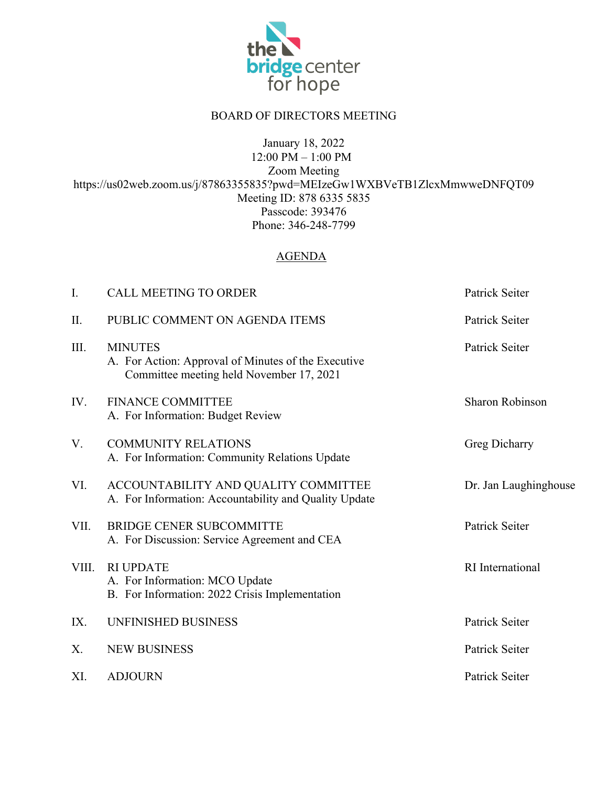

## BOARD OF DIRECTORS MEETING

January 18, 2022

12:00 PM – 1:00 PM Zoom Meeting https://us02web.zoom.us/j/87863355835?pwd=MEIzeGw1WXBVeTB1ZlcxMmwweDNFQT09 Meeting ID: 878 6335 5835 Passcode: 393476 Phone: 346-248-7799

## AGENDA

| I.    | <b>CALL MEETING TO ORDER</b>                                                                                      | Patrick Seiter         |
|-------|-------------------------------------------------------------------------------------------------------------------|------------------------|
| II.   | PUBLIC COMMENT ON AGENDA ITEMS                                                                                    | Patrick Seiter         |
| III.  | <b>MINUTES</b><br>A. For Action: Approval of Minutes of the Executive<br>Committee meeting held November 17, 2021 | Patrick Seiter         |
| IV.   | <b>FINANCE COMMITTEE</b><br>A. For Information: Budget Review                                                     | <b>Sharon Robinson</b> |
| V.    | <b>COMMUNITY RELATIONS</b><br>A. For Information: Community Relations Update                                      | Greg Dicharry          |
| VI.   | ACCOUNTABILITY AND QUALITY COMMITTEE<br>A. For Information: Accountability and Quality Update                     | Dr. Jan Laughinghouse  |
| VII.  | <b>BRIDGE CENER SUBCOMMITTE</b><br>A. For Discussion: Service Agreement and CEA                                   | Patrick Seiter         |
| VIII. | <b>RI UPDATE</b><br>A. For Information: MCO Update<br>B. For Information: 2022 Crisis Implementation              | RI International       |
| IX.   | UNFINISHED BUSINESS                                                                                               | Patrick Seiter         |
| Χ.    | <b>NEW BUSINESS</b>                                                                                               | Patrick Seiter         |
| XI.   | <b>ADJOURN</b>                                                                                                    | Patrick Seiter         |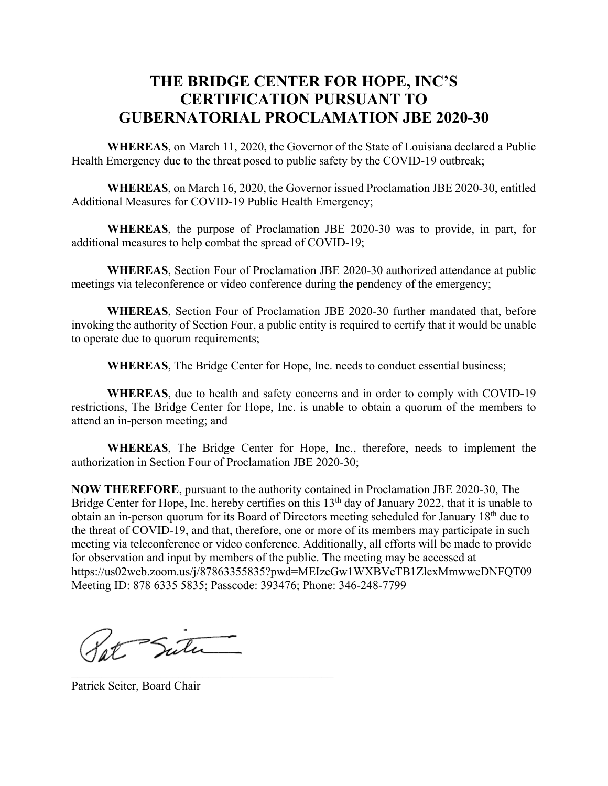# **THE BRIDGE CENTER FOR HOPE, INC'S CERTIFICATION PURSUANT TO GUBERNATORIAL PROCLAMATION JBE 2020-30**

**WHEREAS**, on March 11, 2020, the Governor of the State of Louisiana declared a Public Health Emergency due to the threat posed to public safety by the COVID-19 outbreak;

**WHEREAS**, on March 16, 2020, the Governor issued Proclamation JBE 2020-30, entitled Additional Measures for COVID-19 Public Health Emergency;

**WHEREAS**, the purpose of Proclamation JBE 2020-30 was to provide, in part, for additional measures to help combat the spread of COVID-19;

**WHEREAS**, Section Four of Proclamation JBE 2020-30 authorized attendance at public meetings via teleconference or video conference during the pendency of the emergency;

**WHEREAS**, Section Four of Proclamation JBE 2020-30 further mandated that, before invoking the authority of Section Four, a public entity is required to certify that it would be unable to operate due to quorum requirements;

**WHEREAS**, The Bridge Center for Hope, Inc. needs to conduct essential business;

**WHEREAS**, due to health and safety concerns and in order to comply with COVID-19 restrictions, The Bridge Center for Hope, Inc. is unable to obtain a quorum of the members to attend an in-person meeting; and

**WHEREAS**, The Bridge Center for Hope, Inc., therefore, needs to implement the authorization in Section Four of Proclamation JBE 2020-30;

**NOW THEREFORE**, pursuant to the authority contained in Proclamation JBE 2020-30, The Bridge Center for Hope, Inc. hereby certifies on this 13<sup>th</sup> day of January 2022, that it is unable to obtain an in-person quorum for its Board of Directors meeting scheduled for January 18th due to the threat of COVID-19, and that, therefore, one or more of its members may participate in such meeting via teleconference or video conference. Additionally, all efforts will be made to provide for observation and input by members of the public. The meeting may be accessed at https://us02web.zoom.us/j/87863355835?pwd=MEIzeGw1WXBVeTB1ZlcxMmwweDNFQT09 Meeting ID: 878 6335 5835; Passcode: 393476; Phone: 346-248-7799

Pot Sute

Patrick Seiter, Board Chair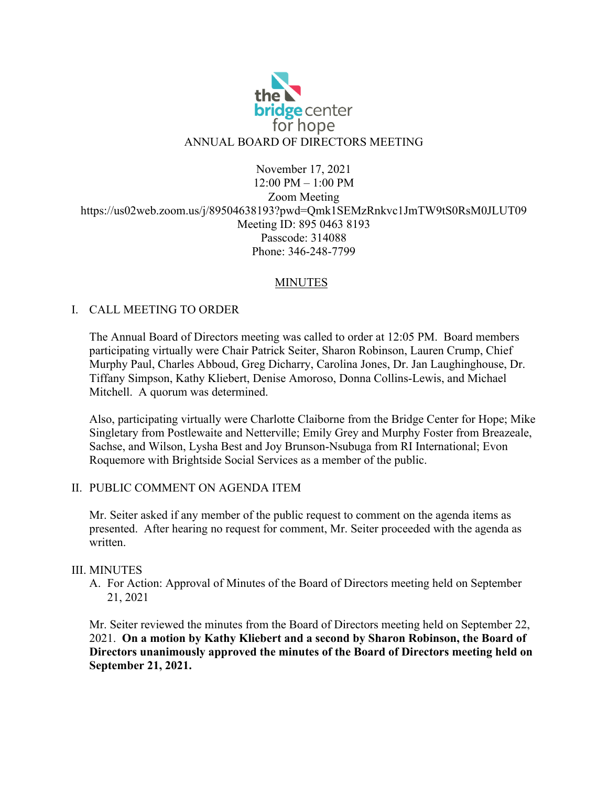

## November 17, 2021 12:00 PM – 1:00 PM Zoom Meeting https://us02web.zoom.us/j/89504638193?pwd=Qmk1SEMzRnkvc1JmTW9tS0RsM0JLUT09 Meeting ID: 895 0463 8193 Passcode: 314088 Phone: 346-248-7799

## MINUTES

## I. CALL MEETING TO ORDER

The Annual Board of Directors meeting was called to order at 12:05 PM. Board members participating virtually were Chair Patrick Seiter, Sharon Robinson, Lauren Crump, Chief Murphy Paul, Charles Abboud, Greg Dicharry, Carolina Jones, Dr. Jan Laughinghouse, Dr. Tiffany Simpson, Kathy Kliebert, Denise Amoroso, Donna Collins-Lewis, and Michael Mitchell. A quorum was determined.

Also, participating virtually were Charlotte Claiborne from the Bridge Center for Hope; Mike Singletary from Postlewaite and Netterville; Emily Grey and Murphy Foster from Breazeale, Sachse, and Wilson, Lysha Best and Joy Brunson-Nsubuga from RI International; Evon Roquemore with Brightside Social Services as a member of the public.

#### II. PUBLIC COMMENT ON AGENDA ITEM

Mr. Seiter asked if any member of the public request to comment on the agenda items as presented. After hearing no request for comment, Mr. Seiter proceeded with the agenda as written.

#### III. MINUTES

A. For Action: Approval of Minutes of the Board of Directors meeting held on September 21, 2021

Mr. Seiter reviewed the minutes from the Board of Directors meeting held on September 22, 2021. **On a motion by Kathy Kliebert and a second by Sharon Robinson, the Board of Directors unanimously approved the minutes of the Board of Directors meeting held on September 21, 2021.**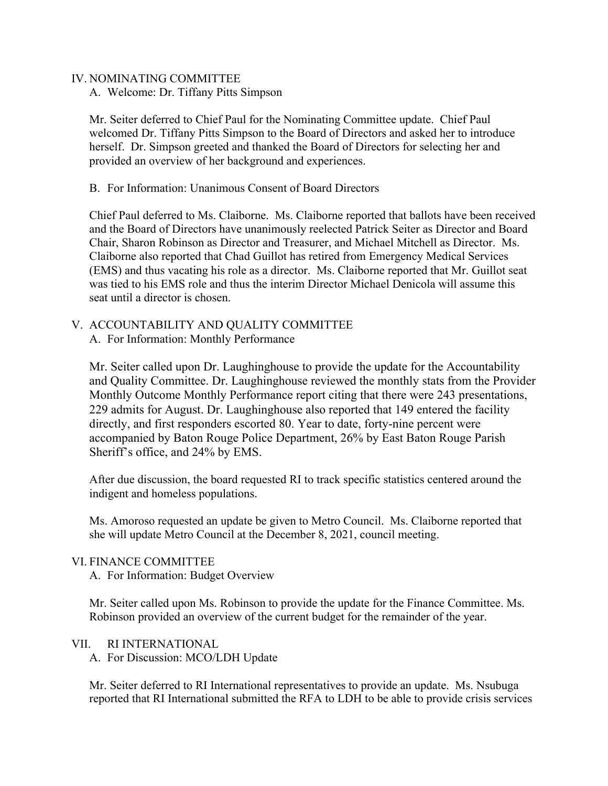#### IV. NOMINATING COMMITTEE

A. Welcome: Dr. Tiffany Pitts Simpson

Mr. Seiter deferred to Chief Paul for the Nominating Committee update. Chief Paul welcomed Dr. Tiffany Pitts Simpson to the Board of Directors and asked her to introduce herself. Dr. Simpson greeted and thanked the Board of Directors for selecting her and provided an overview of her background and experiences.

B. For Information: Unanimous Consent of Board Directors

Chief Paul deferred to Ms. Claiborne. Ms. Claiborne reported that ballots have been received and the Board of Directors have unanimously reelected Patrick Seiter as Director and Board Chair, Sharon Robinson as Director and Treasurer, and Michael Mitchell as Director. Ms. Claiborne also reported that Chad Guillot has retired from Emergency Medical Services (EMS) and thus vacating his role as a director. Ms. Claiborne reported that Mr. Guillot seat was tied to his EMS role and thus the interim Director Michael Denicola will assume this seat until a director is chosen.

V. ACCOUNTABILITY AND QUALITY COMMITTEE A. For Information: Monthly Performance

Mr. Seiter called upon Dr. Laughinghouse to provide the update for the Accountability and Quality Committee. Dr. Laughinghouse reviewed the monthly stats from the Provider Monthly Outcome Monthly Performance report citing that there were 243 presentations, 229 admits for August. Dr. Laughinghouse also reported that 149 entered the facility directly, and first responders escorted 80. Year to date, forty-nine percent were accompanied by Baton Rouge Police Department, 26% by East Baton Rouge Parish Sheriff's office, and 24% by EMS.

After due discussion, the board requested RI to track specific statistics centered around the indigent and homeless populations.

Ms. Amoroso requested an update be given to Metro Council. Ms. Claiborne reported that she will update Metro Council at the December 8, 2021, council meeting.

VI. FINANCE COMMITTEE

A. For Information: Budget Overview

Mr. Seiter called upon Ms. Robinson to provide the update for the Finance Committee. Ms. Robinson provided an overview of the current budget for the remainder of the year.

#### VII. RI INTERNATIONAL

A. For Discussion: MCO/LDH Update

Mr. Seiter deferred to RI International representatives to provide an update. Ms. Nsubuga reported that RI International submitted the RFA to LDH to be able to provide crisis services